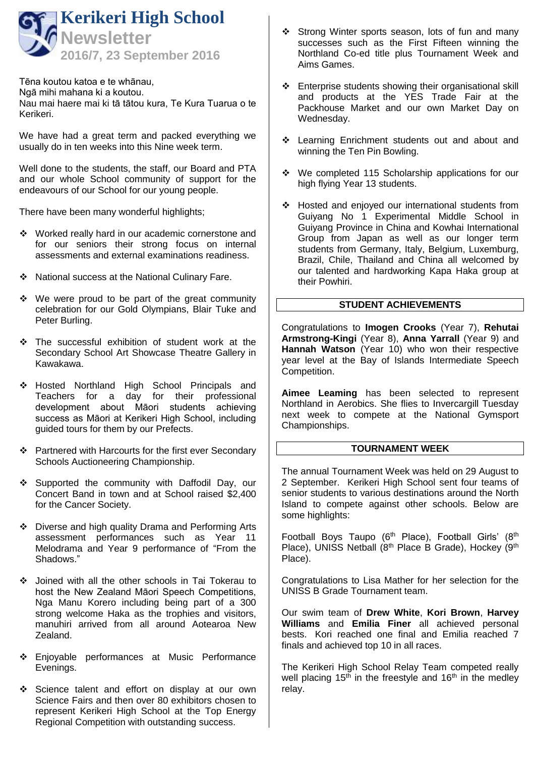

Tēna koutou katoa e te whānau, Ngā mihi mahana ki a koutou. Nau mai haere mai ki tā tātou kura, Te Kura Tuarua o te Kerikeri.

We have had a great term and packed everything we usually do in ten weeks into this Nine week term.

Well done to the students, the staff, our Board and PTA and our whole School community of support for the endeavours of our School for our young people.

There have been many wonderful highlights;

- Worked really hard in our academic cornerstone and for our seniors their strong focus on internal assessments and external examinations readiness.
- National success at the National Culinary Fare.
- $\div$  We were proud to be part of the great community celebration for our Gold Olympians, Blair Tuke and Peter Burling.
- \* The successful exhibition of student work at the Secondary School Art Showcase Theatre Gallery in Kawakawa.
- \* Hosted Northland High School Principals and Teachers for a day for their professional development about Māori students achieving success as Māori at Kerikeri High School, including guided tours for them by our Prefects.
- ❖ Partnered with Harcourts for the first ever Secondary Schools Auctioneering Championship.
- Supported the community with Daffodil Day, our Concert Band in town and at School raised \$2,400 for the Cancer Society.
- Diverse and high quality Drama and Performing Arts assessment performances such as Year 11 Melodrama and Year 9 performance of "From the Shadows."
- Joined with all the other schools in Tai Tokerau to host the New Zealand Māori Speech Competitions, Nga Manu Korero including being part of a 300 strong welcome Haka as the trophies and visitors, manuhiri arrived from all around Aotearoa New Zealand.
- \* Enjoyable performances at Music Performance Evenings.
- Science talent and effort on display at our own Science Fairs and then over 80 exhibitors chosen to represent Kerikeri High School at the Top Energy Regional Competition with outstanding success.
- Strong Winter sports season, lots of fun and many successes such as the First Fifteen winning the Northland Co-ed title plus Tournament Week and Aims Games.
- Enterprise students showing their organisational skill and products at the YES Trade Fair at the Packhouse Market and our own Market Day on Wednesday.
- Learning Enrichment students out and about and winning the Ten Pin Bowling.
- We completed 115 Scholarship applications for our high flying Year 13 students.
- Hosted and enjoyed our international students from Guiyang No 1 Experimental Middle School in Guiyang Province in China and Kowhai International Group from Japan as well as our longer term students from Germany, Italy, Belgium, Luxemburg, Brazil, Chile, Thailand and China all welcomed by our talented and hardworking Kapa Haka group at their Powhiri.

# **STUDENT ACHIEVEMENTS**

Congratulations to **Imogen Crooks** (Year 7), **Rehutai Armstrong-Kingi** (Year 8), **Anna Yarrall** (Year 9) and **Hannah Watson** (Year 10) who won their respective year level at the Bay of Islands Intermediate Speech Competition.

**Aimee Leaming** has been selected to represent Northland in Aerobics. She flies to Invercargill Tuesday next week to compete at the National Gymsport Championships.

# **TOURNAMENT WEEK**

The annual Tournament Week was held on 29 August to 2 September. Kerikeri High School sent four teams of senior students to various destinations around the North Island to compete against other schools. Below are some highlights:

Football Boys Taupo (6<sup>th</sup> Place), Football Girls' (8<sup>th</sup> Place), UNISS Netball (8<sup>th</sup> Place B Grade), Hockey (9<sup>th</sup> Place).

Congratulations to Lisa Mather for her selection for the UNISS B Grade Tournament team.

Our swim team of **Drew White**, **Kori Brown**, **Harvey Williams** and **Emilia Finer** all achieved personal bests. Kori reached one final and Emilia reached 7 finals and achieved top 10 in all races.

The Kerikeri High School Relay Team competed really well placing  $15<sup>th</sup>$  in the freestyle and  $16<sup>th</sup>$  in the medley relay.